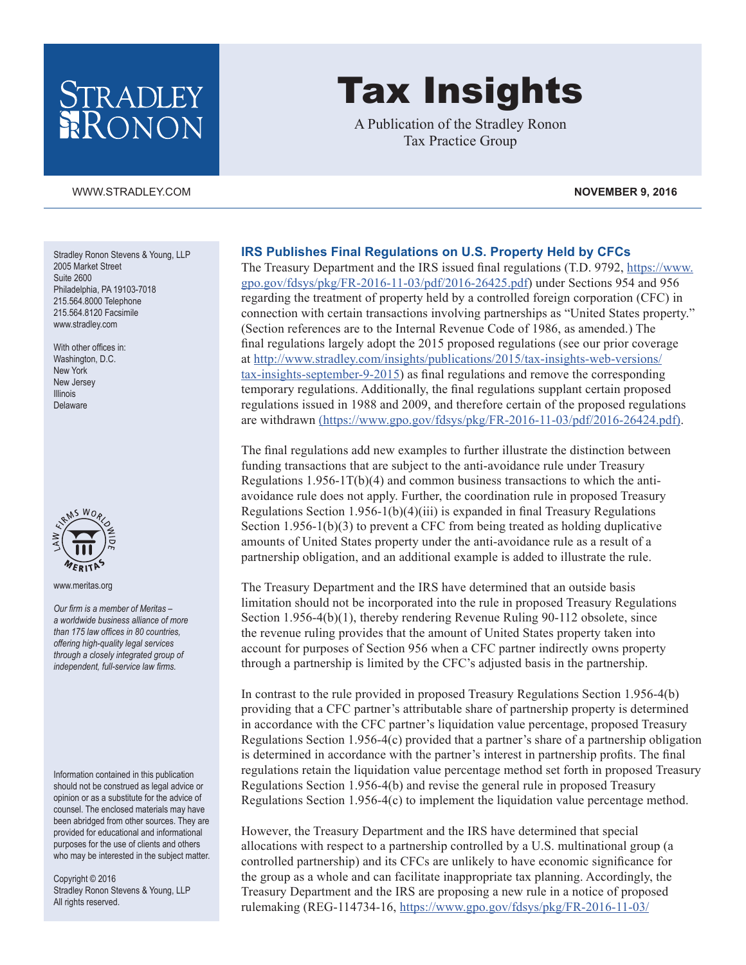## STRADLEY RONON

#### [WWW.STRADLEY.COM](www.stradley.com) **NOVEMBER 9, 2016**

Stradley Ronon Stevens & Young, LLP 2005 Market Street Suite 2600 Philadelphia, PA 19103-7018 215.564.8000 Telephone 215.564.8120 Facsimile [www.stradley.com](http://www.stradley.com)

With other offices in: Washington, D.C. New York New Jersey Illinois Delaware



[www.meritas.org](http://www.meritas.org)

*Our firm is a member of Meritas – a worldwide business alliance of more than 175 law offices in 80 countries, offering high-quality legal services through a closely integrated group of independent, full-service law firms.*

Information contained in this publication should not be construed as legal advice or opinion or as a substitute for the advice of counsel. The enclosed materials may have been abridged from other sources. They are provided for educational and informational purposes for the use of clients and others who may be interested in the subject matter.

Copyright © 2016 Stradley Ronon Stevens & Young, LLP All rights reserved.

# Tax Insights

A Publication of the Stradley Ronon Tax Practice Group

### **IRS Publishes Final Regulations on U.S. Property Held by CFCs**

The Treasury Department and the IRS issued final regulations (T.D. 9792, [https://www.](https://www.gpo.gov/fdsys/pkg/FR-2016-11-03/pdf/2016-26425.pdf) [gpo.gov/fdsys/pkg/FR-2016-11-03/pdf/2016-26425.pdf\)](https://www.gpo.gov/fdsys/pkg/FR-2016-11-03/pdf/2016-26425.pdf) under Sections 954 and 956 regarding the treatment of property held by a controlled foreign corporation (CFC) in connection with certain transactions involving partnerships as "United States property." (Section references are to the Internal Revenue Code of 1986, as amended.) The final regulations largely adopt the 2015 proposed regulations (see our prior coverage at [http://www.stradley.com/insights/publications/2015/tax-insights-web-versions/](http://www.stradley.com/insights/publications/2015/tax-insights-web-versions/tax-insights-september-9-2015) [tax-insights-september-9-2015](http://www.stradley.com/insights/publications/2015/tax-insights-web-versions/tax-insights-september-9-2015)) as final regulations and remove the corresponding temporary regulations. Additionally, the final regulations supplant certain proposed regulations issued in 1988 and 2009, and therefore certain of the proposed regulations are withdrawn [\(https://www.gpo.gov/fdsys/pkg/FR-2016-11-03/pdf/2016-26424.pdf\).]((https://www.gpo.gov/fdsys/pkg/FR-2016-11-03/pdf/2016-26424.pdf))

The final regulations add new examples to further illustrate the distinction between funding transactions that are subject to the anti-avoidance rule under Treasury Regulations  $1.956-1T(b)(4)$  and common business transactions to which the antiavoidance rule does not apply. Further, the coordination rule in proposed Treasury Regulations Section 1.956-1(b)(4)(iii) is expanded in final Treasury Regulations Section 1.956-1(b)(3) to prevent a CFC from being treated as holding duplicative amounts of United States property under the anti-avoidance rule as a result of a partnership obligation, and an additional example is added to illustrate the rule.

The Treasury Department and the IRS have determined that an outside basis limitation should not be incorporated into the rule in proposed Treasury Regulations Section 1.956-4(b)(1), thereby rendering Revenue Ruling 90-112 obsolete, since the revenue ruling provides that the amount of United States property taken into account for purposes of Section 956 when a CFC partner indirectly owns property through a partnership is limited by the CFC's adjusted basis in the partnership.

In contrast to the rule provided in proposed Treasury Regulations Section 1.956-4(b) providing that a CFC partner's attributable share of partnership property is determined in accordance with the CFC partner's liquidation value percentage, proposed Treasury Regulations Section 1.956-4(c) provided that a partner's share of a partnership obligation is determined in accordance with the partner's interest in partnership profits. The final regulations retain the liquidation value percentage method set forth in proposed Treasury Regulations Section 1.956-4(b) and revise the general rule in proposed Treasury Regulations Section  $1.956-4(c)$  to implement the liquidation value percentage method.

However, the Treasury Department and the IRS have determined that special allocations with respect to a partnership controlled by a U.S. multinational group (a controlled partnership) and its CFCs are unlikely to have economic significance for the group as a whole and can facilitate inappropriate tax planning. Accordingly, the Treasury Department and the IRS are proposing a new rule in a notice of proposed rulemaking (REG-114734-16, [https://www.gpo.gov/fdsys/pkg/FR-2016-11-03/](https://www.gpo.gov/fdsys/pkg/FR-2016-11-03/pdf/2016-26424.pdf)